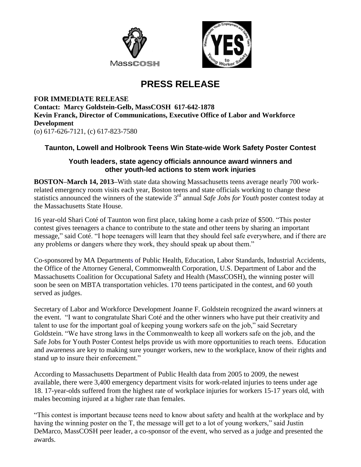



## **PRESS RELEASE**

**FOR IMMEDIATE RELEASE Contact: Marcy Goldstein-Gelb, MassCOSH 617-642-1878 Kevin Franck, Director of Communications, Executive Office of Labor and Workforce Development** (o) 617-626-7121, (c) 617-823-7580

## **Taunton, Lowell and Holbrook Teens Win State-wide Work Safety Poster Contest**

## **Youth leaders, state agency officials announce award winners and other youth-led actions to stem work injuries**

**BOSTON–March 14, 2013–**With state data showing Massachusetts teens average nearly 700 workrelated emergency room visits each year, Boston teens and state officials working to change these statistics announced the winners of the statewide 3<sup>rd</sup> annual *Safe Jobs for Youth* poster contest today at the Massachusetts State House.

16 year-old Shari Coté of Taunton won first place, taking home a cash prize of \$500. "This poster contest gives teenagers a chance to contribute to the state and other teens by sharing an important message," said Coté. "I hope teenagers will learn that they should feel safe everywhere, and if there are any problems or dangers where they work, they should speak up about them."

Co-sponsored by MA Departments of Public Health, Education, Labor Standards, Industrial Accidents, the Office of the Attorney General, Commonwealth Corporation, U.S. Department of Labor and the Massachusetts Coalition for Occupational Safety and Health (MassCOSH), the winning poster will soon be seen on MBTA transportation vehicles. 170 teens participated in the contest, and 60 youth served as judges.

Secretary of Labor and Workforce Development Joanne F. Goldstein recognized the award winners at the event. "I want to congratulate Shari Coté and the other winners who have put their creativity and talent to use for the important goal of keeping young workers safe on the job," said Secretary Goldstein. "We have strong laws in the Commonwealth to keep all workers safe on the job, and the Safe Jobs for Youth Poster Contest helps provide us with more opportunities to reach teens. Education and awareness are key to making sure younger workers, new to the workplace, know of their rights and stand up to insure their enforcement."

According to Massachusetts Department of Public Health data from 2005 to 2009, the newest available, there were 3,400 emergency department visits for work-related injuries to teens under age 18. 17-year-olds suffered from the highest rate of workplace injuries for workers 15-17 years old, with males becoming injured at a higher rate than females.

"This contest is important because teens need to know about safety and health at the workplace and by having the winning poster on the T, the message will get to a lot of young workers," said Justin DeMarco, MassCOSH peer leader, a co-sponsor of the event, who served as a judge and presented the awards.